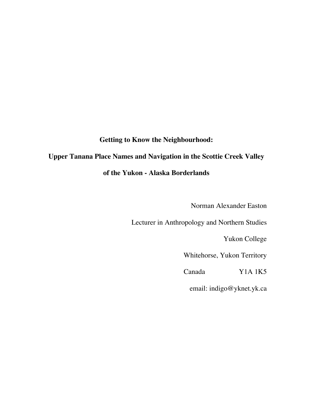### **Getting to Know the Neighbourhood:**

# **Upper Tanana Place Names and Navigation in the Scottie Creek Valley**

### **of the Yukon - Alaska Borderlands**

Norman Alexander Easton

Lecturer in Anthropology and Northern Studies

Yukon College

Whitehorse, Yukon Territory

Canada Y1A 1K5

email: indigo@yknet.yk.ca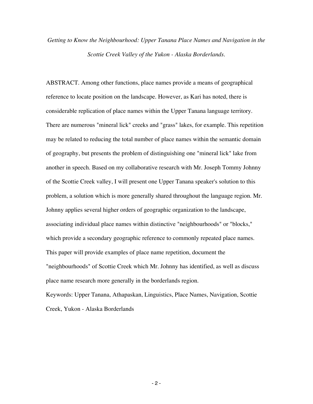# *Getting to Know the Neighbourhood: Upper Tanana Place Names and Navigation in the Scottie Creek Valley of the Yukon - Alaska Borderlands.*

ABSTRACT. Among other functions, place names provide a means of geographical reference to locate position on the landscape. However, as Kari has noted, there is considerable replication of place names within the Upper Tanana language territory. There are numerous "mineral lick" creeks and "grass" lakes, for example. This repetition may be related to reducing the total number of place names within the semantic domain of geography, but presents the problem of distinguishing one "mineral lick" lake from another in speech. Based on my collaborative research with Mr. Joseph Tommy Johnny of the Scottie Creek valley, I will present one Upper Tanana speaker's solution to this problem, a solution which is more generally shared throughout the language region. Mr. Johnny applies several higher orders of geographic organization to the landscape, associating individual place names within distinctive "neighbourhoods" or "blocks," which provide a secondary geographic reference to commonly repeated place names. This paper will provide examples of place name repetition, document the "neighbourhoods" of Scottie Creek which Mr. Johnny has identified, as well as discuss place name research more generally in the borderlands region.

Keywords: Upper Tanana, Athapaskan, Linguistics, Place Names, Navigation, Scottie Creek, Yukon - Alaska Borderlands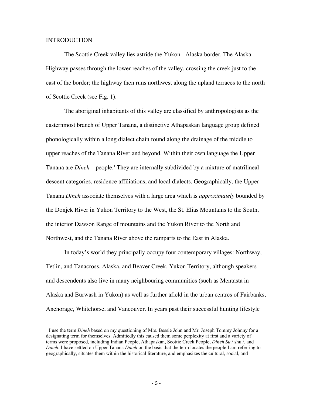#### INTRODUCTION

The Scottie Creek valley lies astride the Yukon - Alaska border. The Alaska Highway passes through the lower reaches of the valley, crossing the creek just to the east of the border; the highway then runs northwest along the upland terraces to the north of Scottie Creek (see Fig. 1).

The aboriginal inhabitants of this valley are classified by anthropologists as the easternmost branch of Upper Tanana, a distinctive Athapaskan language group defined phonologically within a long dialect chain found along the drainage of the middle to upper reaches of the Tanana River and beyond. Within their own language the Upper Tanana are *Dineh* – people.<sup>1</sup> They are internally subdivided by a mixture of matrilineal descent categories, residence affiliations, and local dialects. Geographically, the Upper Tanana *Dineh* associate themselves with a large area which is *approximately* bounded by the Donjek River in Yukon Territory to the West, the St. Elias Mountains to the South, the interior Dawson Range of mountains and the Yukon River to the North and Northwest, and the Tanana River above the ramparts to the East in Alaska.

In today's world they principally occupy four contemporary villages: Northway, Tetlin, and Tanacross, Alaska, and Beaver Creek, Yukon Territory, although speakers and descendents also live in many neighbouring communities (such as Mentasta in Alaska and Burwash in Yukon) as well as further afield in the urban centres of Fairbanks, Anchorage, Whitehorse, and Vancouver. In years past their successful hunting lifestyle

<sup>|&</sup>lt;br>1 <sup>1</sup> I use the term *Dineh* based on my questioning of Mrs. Bessie John and Mr. Joseph Tommy Johnny for a designating term for themselves. Admittedly this caused them some perplexity at first and a variety of terms were proposed, including Indian People, Athapaskan, Scottie Creek People, *Dineh Su* / shu /, and *Dineh*. I have settled on Upper Tanana *Dineh* on the basis that the term locates the people I am referring to geographically, situates them within the historical literature, and emphasizes the cultural, social, and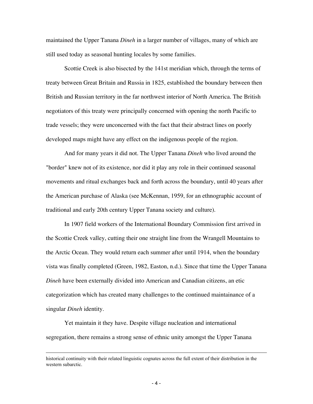maintained the Upper Tanana *Dineh* in a larger number of villages, many of which are still used today as seasonal hunting locales by some families.

Scottie Creek is also bisected by the 141st meridian which, through the terms of treaty between Great Britain and Russia in 1825, established the boundary between then British and Russian territory in the far northwest interior of North America. The British negotiators of this treaty were principally concerned with opening the north Pacific to trade vessels; they were unconcerned with the fact that their abstract lines on poorly developed maps might have any effect on the indigenous people of the region.

And for many years it did not. The Upper Tanana *Dineh* who lived around the "border" knew not of its existence, nor did it play any role in their continued seasonal movements and ritual exchanges back and forth across the boundary, until 40 years after the American purchase of Alaska (see McKennan, 1959, for an ethnographic account of traditional and early 20th century Upper Tanana society and culture).

In 1907 field workers of the International Boundary Commission first arrived in the Scottie Creek valley, cutting their one straight line from the Wrangell Mountains to the Arctic Ocean. They would return each summer after until 1914, when the boundary vista was finally completed (Green, 1982, Easton, n.d.). Since that time the Upper Tanana *Dineh* have been externally divided into American and Canadian citizens, an etic categorization which has created many challenges to the continued maintainance of a singular *Dineh* identity.

Yet maintain it they have. Despite village nucleation and international segregation, there remains a strong sense of ethnic unity amongst the Upper Tanana

 $\overline{a}$ 

historical continuity with their related linguistic cognates across the full extent of their distribution in the western subarctic.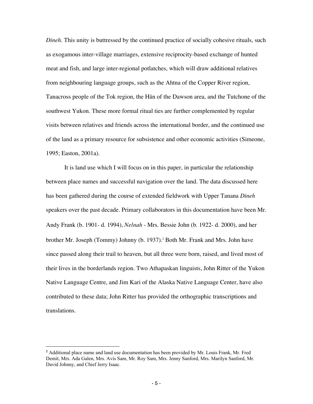*Dineh*. This unity is buttressed by the continued practice of socially cohesive rituals, such as exogamous inter-village marriages, extensive reciprocity-based exchange of hunted meat and fish, and large inter-regional potlatches, which will draw additional relatives from neighbouring language groups, such as the Ahtna of the Copper River region, Tanacross people of the Tok region, the Hän of the Dawson area, and the Tutchone of the southwest Yukon. These more formal ritual ties are further complemented by regular visits between relatives and friends across the international border, and the continued use of the land as a primary resource for subsistence and other economic activities (Simeone, 1995; Easton, 2001a).

It is land use which I will focus on in this paper, in particular the relationship between place names and successful navigation over the land. The data discussed here has been gathered during the course of extended fieldwork with Upper Tanana *Dineh* speakers over the past decade. Primary collaborators in this documentation have been Mr. Andy Frank (b. 1901- d. 1994), *Nelnah* - Mrs. Bessie John (b. 1922- d. 2000), and her brother Mr. Joseph (Tommy) Johnny (b. 1937).<sup>2</sup> Both Mr. Frank and Mrs. John have since passed along their trail to heaven, but all three were born, raised, and lived most of their lives in the borderlands region. Two Athapaskan linguists, John Ritter of the Yukon Native Language Centre, and Jim Kari of the Alaska Native Language Center, have also contributed to these data; John Ritter has provided the orthographic transcriptions and translations.

 $\frac{1}{2}$ <sup>2</sup> Additional place name and land use documentation has been provided by Mr. Louis Frank, Mr. Fred Demit, Mrs. Ada Galen, Mrs. Avis Sam, Mr. Roy Sam, Mrs. Jenny Sanford, Mrs. Marilyn Sanford, Mr. David Johnny, and Chief Jerry Isaac.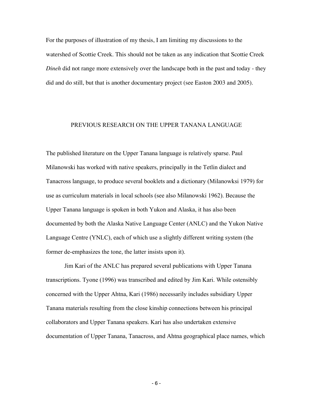For the purposes of illustration of my thesis, I am limiting my discussions to the watershed of Scottie Creek. This should not be taken as any indication that Scottie Creek *Dineh* did not range more extensively over the landscape both in the past and today - they did and do still, but that is another documentary project (see Easton 2003 and 2005).

#### PREVIOUS RESEARCH ON THE UPPER TANANA LANGUAGE

The published literature on the Upper Tanana language is relatively sparse. Paul Milanowski has worked with native speakers, principally in the Tetlin dialect and Tanacross language, to produce several booklets and a dictionary (Milanowksi 1979) for use as curriculum materials in local schools (see also Milanowski 1962). Because the Upper Tanana language is spoken in both Yukon and Alaska, it has also been documented by both the Alaska Native Language Center (ANLC) and the Yukon Native Language Centre (YNLC), each of which use a slightly different writing system (the former de-emphasizes the tone, the latter insists upon it).

Jim Kari of the ANLC has prepared several publications with Upper Tanana transcriptions. Tyone (1996) was transcribed and edited by Jim Kari. While ostensibly concerned with the Upper Ahtna, Kari (1986) necessarily includes subsidiary Upper Tanana materials resulting from the close kinship connections between his principal collaborators and Upper Tanana speakers. Kari has also undertaken extensive documentation of Upper Tanana, Tanacross, and Ahtna geographical place names, which

- 6 -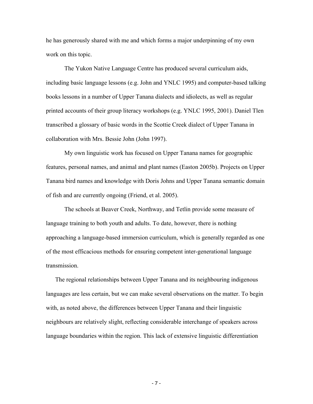he has generously shared with me and which forms a major underpinning of my own work on this topic.

The Yukon Native Language Centre has produced several curriculum aids, including basic language lessons (e.g. John and YNLC 1995) and computer-based talking books lessons in a number of Upper Tanana dialects and idiolects, as well as regular printed accounts of their group literacy workshops (e.g. YNLC 1995, 2001). Daniel Tlen transcribed a glossary of basic words in the Scottie Creek dialect of Upper Tanana in collaboration with Mrs. Bessie John (John 1997).

My own linguistic work has focused on Upper Tanana names for geographic features, personal names, and animal and plant names (Easton 2005b). Projects on Upper Tanana bird names and knowledge with Doris Johns and Upper Tanana semantic domain of fish and are currently ongoing (Friend, et al. 2005).

The schools at Beaver Creek, Northway, and Tetlin provide some measure of language training to both youth and adults. To date, however, there is nothing approaching a language-based immersion curriculum, which is generally regarded as one of the most efficacious methods for ensuring competent inter-generational language transmission.

The regional relationships between Upper Tanana and its neighbouring indigenous languages are less certain, but we can make several observations on the matter. To begin with, as noted above, the differences between Upper Tanana and their linguistic neighbours are relatively slight, reflecting considerable interchange of speakers across language boundaries within the region. This lack of extensive linguistic differentiation

- 7 -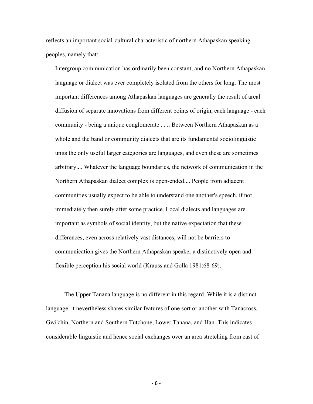reflects an important social-cultural characteristic of northern Athapaskan speaking peoples, namely that:

Intergroup communication has ordinarily been constant, and no Northern Athapaskan language or dialect was ever completely isolated from the others for long. The most important differences among Athapaskan languages are generally the result of areal diffusion of separate innovations from different points of origin, each language - each community - being a unique conglomerate . . .. Between Northern Athapaskan as a whole and the band or community dialects that are its fundamental sociolinguistic units the only useful larger categories are languages, and even these are sometimes arbitrary.... Whatever the language boundaries, the network of communication in the Northern Athapaskan dialect complex is open-ended.... People from adjacent communities usually expect to be able to understand one another's speech, if not immediately then surely after some practice. Local dialects and languages are important as symbols of social identity, but the native expectation that these differences, even across relatively vast distances, will not be barriers to communication gives the Northern Athapaskan speaker a distinctively open and flexible perception his social world (Krauss and Golla 1981:68-69).

The Upper Tanana language is no different in this regard. While it is a distinct language, it nevertheless shares similar features of one sort or another with Tanacross, Gwi'chin, Northern and Southern Tutchone, Lower Tanana, and Han. This indicates considerable linguistic and hence social exchanges over an area stretching from east of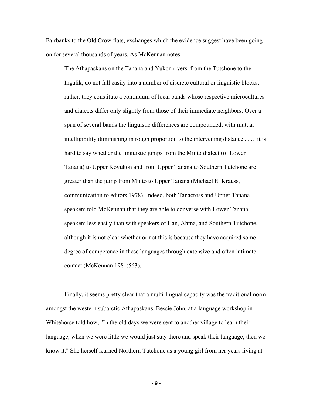Fairbanks to the Old Crow flats, exchanges which the evidence suggest have been going on for several thousands of years. As McKennan notes:

The Athapaskans on the Tanana and Yukon rivers, from the Tutchone to the Ingalik, do not fall easily into a number of discrete cultural or linguistic blocks; rather, they constitute a continuum of local bands whose respective microcultures and dialects differ only slightly from those of their immediate neighbors. Over a span of several bands the linguistic differences are compounded, with mutual intelligibility diminishing in rough proportion to the intervening distance . . .. it is hard to say whether the linguistic jumps from the Minto dialect (of Lower Tanana) to Upper Koyukon and from Upper Tanana to Southern Tutchone are greater than the jump from Minto to Upper Tanana (Michael E. Krauss, communication to editors 1978). Indeed, both Tanacross and Upper Tanana speakers told McKennan that they are able to converse with Lower Tanana speakers less easily than with speakers of Han, Ahtna, and Southern Tutchone, although it is not clear whether or not this is because they have acquired some degree of competence in these languages through extensive and often intimate contact (McKennan 1981:563).

Finally, it seems pretty clear that a multi-lingual capacity was the traditional norm amongst the western subarctic Athapaskans. Bessie John, at a language workshop in Whitehorse told how, "In the old days we were sent to another village to learn their language, when we were little we would just stay there and speak their language; then we know it." She herself learned Northern Tutchone as a young girl from her years living at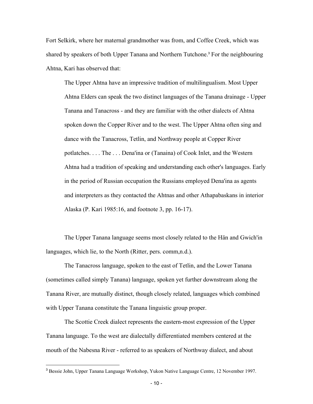Fort Selkirk, where her maternal grandmother was from, and Coffee Creek, which was shared by speakers of both Upper Tanana and Northern Tutchone.<sup>3</sup> For the neighbouring Ahtna, Kari has observed that:

The Upper Ahtna have an impressive tradition of multilingualism. Most Upper Ahtna Elders can speak the two distinct languages of the Tanana drainage - Upper Tanana and Tanacross - and they are familiar with the other dialects of Ahtna spoken down the Copper River and to the west. The Upper Ahtna often sing and dance with the Tanacross, Tetlin, and Northway people at Copper River potlatches. . . . The . . . Dena'ina or (Tanaina) of Cook Inlet, and the Western Ahtna had a tradition of speaking and understanding each other's languages. Early in the period of Russian occupation the Russians employed Dena'ina as agents and interpreters as they contacted the Ahtnas and other Athapabaskans in interior Alaska (P. Kari 1985:16, and footnote 3, pp. 16-17).

The Upper Tanana language seems most closely related to the Hän and Gwich'in languages, which lie, to the North (Ritter, pers. comm,n.d.).

The Tanacross language, spoken to the east of Tetlin, and the Lower Tanana (sometimes called simply Tanana) language, spoken yet further downstream along the Tanana River, are mutually distinct, though closely related, languages which combined with Upper Tanana constitute the Tanana linguistic group proper.

The Scottie Creek dialect represents the eastern-most expression of the Upper Tanana language. To the west are dialectally differentiated members centered at the mouth of the Nabesna River - referred to as speakers of Northway dialect, and about

<sup>-&</sup>lt;br>3 <sup>3</sup> Bessie John, Upper Tanana Language Workshop, Yukon Native Language Centre, 12 November 1997.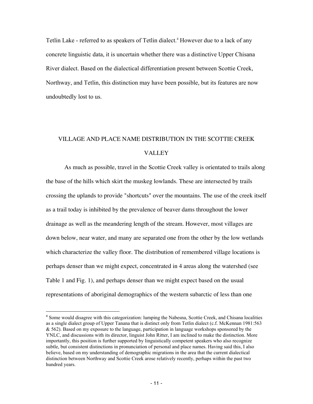Tetlin Lake - referred to as speakers of Tetlin dialect.<sup>4</sup> However due to a lack of any concrete linguistic data, it is uncertain whether there was a distinctive Upper Chisana River dialect. Based on the dialectical differentiation present between Scottie Creek, Northway, and Tetlin, this distinction may have been possible, but its features are now undoubtedly lost to us.

## VILLAGE AND PLACE NAME DISTRIBUTION IN THE SCOTTIE CREEK VALLEY

As much as possible, travel in the Scottie Creek valley is orientated to trails along the base of the hills which skirt the muskeg lowlands. These are intersected by trails crossing the uplands to provide "shortcuts" over the mountains. The use of the creek itself as a trail today is inhibited by the prevalence of beaver dams throughout the lower drainage as well as the meandering length of the stream. However, most villages are down below, near water, and many are separated one from the other by the low wetlands which characterize the valley floor. The distribution of remembered village locations is perhaps denser than we might expect, concentrated in 4 areas along the watershed (see Table 1 and Fig. 1), and perhaps denser than we might expect based on the usual representations of aboriginal demographics of the western subarctic of less than one

 $\overline{4}$  Some would disagree with this categorization: lumping the Nabesna, Scottie Creek, and Chisana localities as a single dialect group of Upper Tanana that is distinct only from Tetlin dialect (c.f. McKennan 1981:563  $& 562$ ). Based on my exposure to the language, participation in language workshops sponsored by the YNLC, and discussions with its director, linguist John Ritter, I am inclined to make the distinction. More importantly, this position is further supported by linguistically competent speakers who also recognize subtle, but consistent distinctions in pronunciation of personal and place names. Having said this, I also believe, based on my understanding of demographic migrations in the area that the current dialectical distinction between Northway and Scottie Creek arose relatively recently, perhaps within the past two hundred years.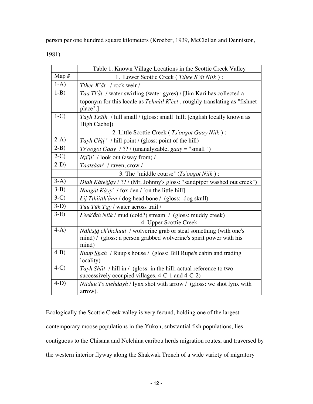person per one hundred square kilometers (Kroeber, 1939, McClellan and Denniston,

1981).

|         | Table 1. Known Village Locations in the Scottie Creek Valley                                                                                      |
|---------|---------------------------------------------------------------------------------------------------------------------------------------------------|
| Map $#$ | 1. Lower Scottie Creek (Tthee K'ät Niik):                                                                                                         |
| $1-A)$  | Tthee K'ät / rock weir /                                                                                                                          |
| $1-B$ ) | <i>Taa Tl'ât</i> / water swirling (water gyres) / [Jim Kari has collected a                                                                       |
|         | toponym for this locale as $Tehmil K'eet$ , roughly translating as "fishnet<br>place".]                                                           |
| $1-C$   | Tayh Tsälh / hill small / (gloss: small hill; [english locally known as<br>High Cache])                                                           |
|         | 2. Little Scottie Creek (Ts'oogot Gaay Niik):                                                                                                     |
| $2-A$ ) | Tayh Chil ' / hill point / (gloss: point of the hill)                                                                                             |
| $2-B$ ) | $Ts'oogot\ Gaay$ / ?? / (unanalyzable, $gaay = "small"$ )                                                                                         |
| $2-C$   | $N\ddot{\mathbf{i}}\dddot{\mathbf{i}}\dddot{\mathbf{i}}'$ / look out (away from) /                                                                |
| $2-D$   | Taatsàan' / raven, crow /                                                                                                                         |
|         | 3. The "middle course" $(Ts'oogot Niik)$ :                                                                                                        |
| $3-A)$  | Diah Kàteèłąy / ?? / (Mr. Johnny's gloss: "sandpiper washed out creek")                                                                           |
| $3-B)$  | <i>Naagät Kąyy'</i> / fox den / [on the little hill]                                                                                              |
| $3-C$   | Łįį Tthiitth'änn / dog head bone / (gloss: dog skull)                                                                                             |
| $3-D)$  | Tuu Tüh Tay / water across trail /                                                                                                                |
| $3-E$   | <i>Lèek'àth Níik / mud (cold?)</i> stream / (gloss: muddy creek)                                                                                  |
|         | 4. Upper Scottie Creek                                                                                                                            |
| $4-A$ ) | Nàhtsià ch'ihchuut / wolverine grab or steal something (with one's<br>mind) / (gloss: a person grabbed wolverine's spirit power with his<br>mind) |
| $4-B$ ) | <i>Ruup Shah</i> / Ruup's house / (gloss: Bill Rupe's cabin and trading<br>locality)                                                              |
| $4-C$   | Tayh Shit / hill in / (gloss: in the hill; actual reference to two<br>successively occupied villages, 4-C-1 and 4-C-2)                            |
| $4-D$   | Niiduu Ts'inehdayh / lynx shot with arrow / (gloss: we shot lynx with<br>arrow).                                                                  |

Ecologically the Scottie Creek valley is very fecund, holding one of the largest contemporary moose populations in the Yukon, substantial fish populations, lies contiguous to the Chisana and Nelchina caribou herds migration routes, and traversed by the western interior flyway along the Shakwak Trench of a wide variety of migratory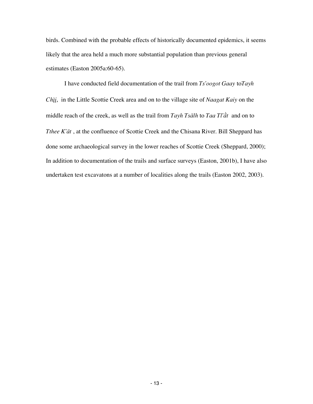birds. Combined with the probable effects of historically documented epidemics, it seems likely that the area held a much more substantial population than previous general estimates (Easton 2005a:60-65).

I have conducted field documentation of the trail from *Ts'oogot Gaay* to *Tayh Chìi*, in the Little Scottie Creek area and on to the village site of *Naagat Kaiy* on the middle reach of the creek, as well as the trail from *Tayh Tsälh* to *Taa Tl'àt* and on to *Tthee K'ät*, at the confluence of Scottie Creek and the Chisana River. Bill Sheppard has done some archaeological survey in the lower reaches of Scottie Creek (Sheppard, 2000); In addition to documentation of the trails and surface surveys (Easton, 2001b), I have also undertaken test excavatons at a number of localities along the trails (Easton 2002, 2003).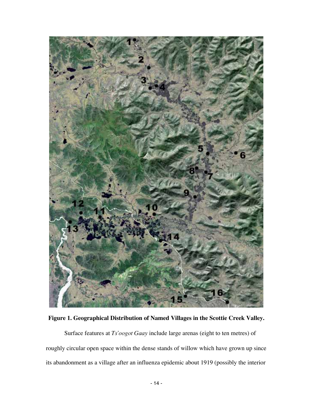

**Figure 1. Geographical Distribution of Named Villages in the Scottie Creek Valley.**

Surface features at *Ts'oogot Gaay* include large arenas (eight to ten metres) of roughly circular open space within the dense stands of willow which have grown up since its abandonment as a village after an influenza epidemic about 1919 (possibly the interior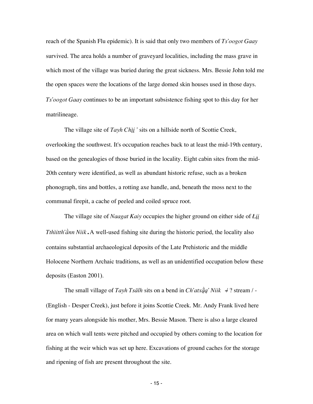reach of the Spanish Flu epidemic). It is said that only two members of *Ts'oogot Gaay* survived. The area holds a number of graveyard localities, including the mass grave in which most of the village was buried during the great sickness. Mrs. Bessie John told me the open spaces were the locations of the large domed skin houses used in those days. *Ts'oogot Gaay* continues to be an important subsistence fishing spot to this day for her matrilineage.

The village site of *Tayh Chìi*<sup>'</sup> sits on a hillside north of Scottie Creek, overlooking the southwest. It's occupation reaches back to at least the mid-19th century, based on the genealogies of those buried in the locality. Eight cabin sites from the mid-20th century were identified, as well as abundant historic refuse, such as a broken phonograph, tins and bottles, a rotting axe handle, and, beneath the moss next to the communal firepit, a cache of peeled and coiled spruce root.

The village site of *Naagat Kaiy* occupies the higher ground on either side of *Lii*<sup></sup> *Tthìitth'ann Niik*. A well-used fishing site during the historic period, the locality also contains substantial archaeological deposits of the Late Prehistoric and the middle Holocene Northern Archaic traditions, as well as an unidentified occupation below these deposits (Easton 2001).

The small village of *Tayh Tsälh* sits on a bend in *Ch'atx* $\ddot{q}a'$  *Niik*  $\rightarrow$  ? stream / -(English - Desper Creek), just before it joins Scottie Creek. Mr. Andy Frank lived here for many years alongside his mother, Mrs. Bessie Mason. There is also a large cleared area on which wall tents were pitched and occupied by others coming to the location for fishing at the weir which was set up here. Excavations of ground caches for the storage and ripening of fish are present throughout the site.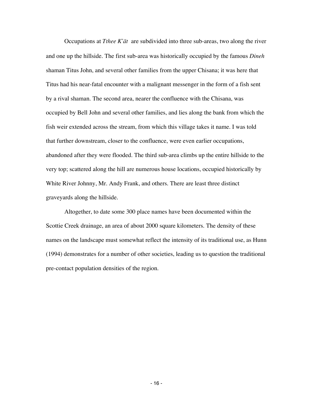Occupations at *Tthee K'at* are subdivided into three sub-areas, two along the river and one up the hillside. The first sub-area was historically occupied by the famous *Dineh* shaman Titus John, and several other families from the upper Chisana; it was here that Titus had his near-fatal encounter with a malignant messenger in the form of a fish sent by a rival shaman. The second area, nearer the confluence with the Chisana, was occupied by Bell John and several other families, and lies along the bank from which the fish weir extended across the stream, from which this village takes it name. I was told that further downstream, closer to the confluence, were even earlier occupations, abandoned after they were flooded. The third sub-area climbs up the entire hillside to the very top; scattered along the hill are numerous house locations, occupied historically by White River Johnny, Mr. Andy Frank, and others. There are least three distinct graveyards along the hillside.

Altogether, to date some 300 place names have been documented within the Scottie Creek drainage, an area of about 2000 square kilometers. The density of these names on the landscape must somewhat reflect the intensity of its traditional use, as Hunn (1994) demonstrates for a number of other societies, leading us to question the traditional pre-contact population densities of the region.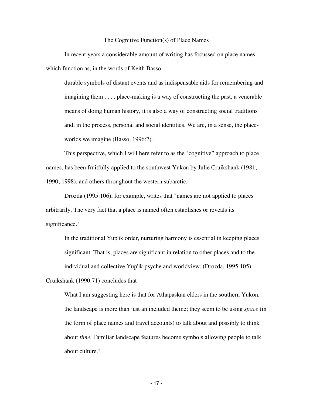#### The Cognitive Function(s) of Place Names

In recent years a considerable amount of writing has focussed on place names which function as, in the words of Keith Basso,

durable symbols of distant events and as indispensable aids for remembering and imagining them . . . . place-making is a way of constructing the past, a venerable means of doing human history, it is also a way of constructing social traditions and, in the process, personal and social identities. We are, in a sense, the placeworlds we imagine (Basso, 1996:7).

This perspective, which I will here refer to as the "cognitive" approach to place names, has been fruitfully applied to the southwest Yukon by Julie Cruikshank (1981; 1990; 1998), and others throughout the western subarctic.

Drozda (1995:106), for example, writes that "names are not applied to places arbitrarily. The very fact that a place is named often establishes or reveals its significance."

In the traditional Yup'ik order, nurturing harmony is essential in keeping places significant. That is, places are significant in relation to other places and to the individual and collective Yup'ik psyche and worldview. (Drozda, 1995:105).

Cruikshank (1990:71) concludes that

What I am suggesting here is that for Athapaskan elders in the southern Yukon, the landscape is more than just an included theme; they seem to be using *space* (in the form of place names and travel accounts) to talk about and possibly to think about *time*. Familiar landscape features become symbols allowing people to talk about culture."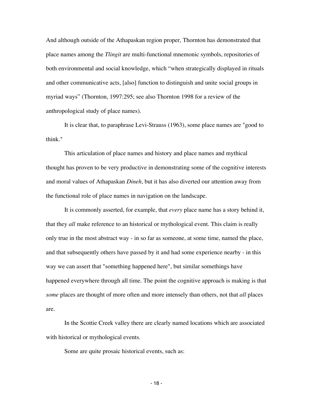And although outside of the Athapaskan region proper, Thornton has demonstrated that place names among the *Tlingit* are multi-functional mnemonic symbols, repositories of both environmental and social knowledge, which "when strategically displayed in rituals and other communicative acts, [also] function to distinguish and unite social groups in myriad ways" (Thornton, 1997:295; see also Thornton 1998 for a review of the anthropological study of place names).

It is clear that, to paraphrase Levi-Strauss (1963), some place names are "good to think."

This articulation of place names and history and place names and mythical thought has proven to be very productive in demonstrating some of the cognitive interests and moral values of Athapaskan *Dineh*, but it has also diverted our attention away from the functional role of place names in navigation on the landscape.

It is commonly asserted, for example, that *every* place name has a story behind it, that they *all* make reference to an historical or mythological event. This claim is really only true in the most abstract way - in so far as someone, at some time, named the place, and that subsequently others have passed by it and had some experience nearby - in this way we can assert that "something happened here", but similar somethings have happened everywhere through all time. The point the cognitive approach is making is that *some* places are thought of more often and more intensely than others, not that *all* places are.

In the Scottie Creek valley there are clearly named locations which are associated with historical or mythological events.

Some are quite prosaic historical events, such as: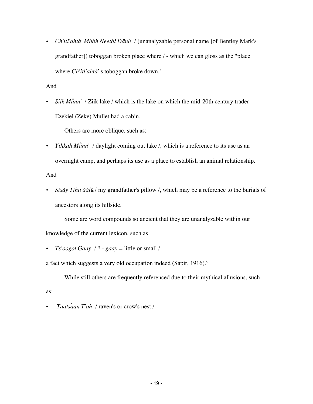• *Ch'itl'ahtà' Mbòh Neetòł Dänh* / (unanalyzable personal name [of Bentley Mark's grandfather]) toboggan broken place where / - which we can gloss as the "place where *Ch'itl'ahtà*'s toboggan broke down."

#### And

• *Siik Mànn'* / Ziik lake / which is the lake on which the mid-20th century trader Ezekiel (Zeke) Mullet had a cabin.

Others are more oblique, such as:

• *Yihkah Männ'* / daylight coming out lake /, which is a reference to its use as an overnight camp, and perhaps its use as a place to establish an animal relationship.

And

as:

*Stsǎy Tthìi'ààl*&/ my grandfather's pillow /, which may be a reference to the burials of ancestors along its hillside.

Some are word compounds so ancient that they are unanalyzable within our

knowledge of the current lexicon, such as

• *Ts'oogot Gaay* / ? - *gaay* = little or small /

a fact which suggests a very old occupation indeed (Sapir, 1916).<sup>5</sup>

While still others are frequently referenced due to their mythical allusions, such

• *Taatsaan T'oh / raven's or crow's nest /.*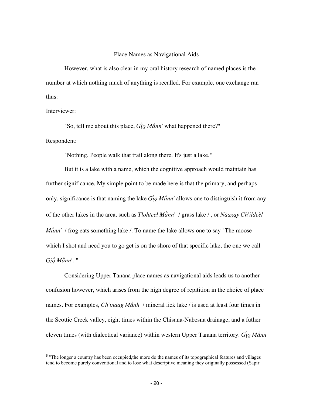#### Place Names as Navigational Aids

However, what is also clear in my oral history research of named places is the number at which nothing much of anything is recalled. For example, one exchange ran thus:

Interviewer:

"So, tell me about this place,  $G\hat{i}\varrho M\hat{a}nn'$  what happened there?"

#### Respondent:

"Nothing. People walk that trail along there. It's just a lake."

But it is a lake with a name, which the cognitive approach would maintain has further significance. My simple point to be made here is that the primary, and perhaps only, significance is that naming the lake *G*i<sub>Q</sub> Mann' allows one to distinguish it from any of the other lakes in the area, such as *Tlohteet Mann'* / grass lake /, or *Naaxay Ch'ildeel Mànn'* / frog eats something lake /. To name the lake allows one to say "The moose" which I shot and need you to go get is on the shore of that specific lake, the one we call  $Gi\ddot{o} M\ddot{a}nn'.$  "

Considering Upper Tanana place names as navigational aids leads us to another confusion however, which arises from the high degree of repitition in the choice of place names. For examples, *Ch'inaag Mành* / mineral lick lake / is used at least four times in the Scottie Creek valley, eight times within the Chisana-Nabesna drainage, and a futher eleven times (with dialectical variance) within western Upper Tanana territory. *Gio Mànn* 

<sup>-&</sup>lt;br>5 <sup>5</sup> "The longer a country has been occupied, the more do the names of its topographical features and villages tend to become purely conventional and to lose what descriptive meaning they originally possessed (Sapir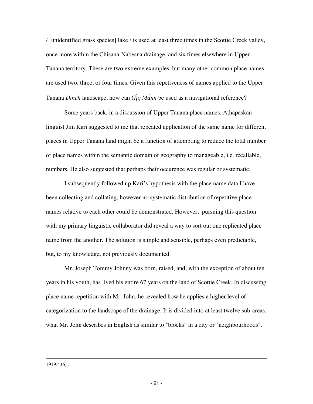/ [unidentified grass species] lake / is used at least three times in the Scottie Creek valley, once more within the Chisana-Nabesna drainage, and six times elsewhere in Upper Tanana territory. These are two extreme examples, but many other common place names are used two, three, or four times. Given this repetiveness of names applied to the Upper Tanana *Dineh* landscape, how can  $G\hat{i}\varrho M\hat{a}$ *nn* be used as a navigational reference?

Some years back, in a discussion of Upper Tanana place names, Athapaskan linguist Jim Kari suggested to me that repeated application of the same name for different places in Upper Tanana land might be a function of attempting to reduce the total number of place names within the semantic domain of geography to manageable, i.e. recallable, numbers. He also suggested that perhaps their occurence was regular or systematic.

I subsequently followed up Kari's hypothesis with the place name data I have been collecting and collating, however no systematic distribution of repetitive place names relative to each other could be demonstrated. However, pursuing this question with my primary linguistic collaborator did reveal a way to sort out one replicated place name from the another. The solution is simple and sensible, perhaps even predictable, but, to my knowledge, not previously documented.

Mr. Joseph Tommy Johnny was born, raised, and, with the exception of about ten years in his youth, has lived his entire 67 years on the land of Scottie Creek. In discussing place name repetition with Mr. John, he revealed how he applies a higher level of categorization to the landscape of the drainage. It is divided into at least twelve sub-areas, what Mr. John describes in English as similar to "blocks" in a city or "neighbourhoods".

1919:436) .

<u>.</u>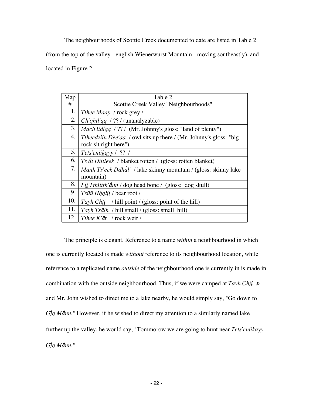The neighbourhoods of Scottie Creek documented to date are listed in Table 2 (from the top of the valley - english Wienerwurst Mountain - moving southeastly), and located in Figure 2.

| Map | Table 2                                                                 |
|-----|-------------------------------------------------------------------------|
|     |                                                                         |
| #   | Scottie Creek Valley "Neighbourhoods"                                   |
| 1.  | Tthee Maay / rock grey /                                                |
| 2.  | $Ch' \rho h t l' q q$ / ?? / (unanalyzable)                             |
| 3.  | Mach'iidlaa / ?? / (Mr. Johnny's gloss: "land of plenty")               |
| 4.  | <i>Theedziin Dèe'gq / owl sits up there / (Mr. Johnny's gloss: "big</i> |
|     | rock sit right here")                                                   |
| 5.  | Tets'eniikayy / ?? /                                                    |
| 6.  | <i>Ts'åt Diitleek / blanket rotten / (gloss: rotten blanket)</i>        |
| 7.  | Mänh Ts'eek Ddhål' / lake skinny mountain / (gloss: skinny lake         |
|     | mountain)                                                               |
| 8.  | Łiį Tthìitth'änn / dog head bone / (gloss: dog skull)                   |
| 9.  | Tsüü Hòolii / bear root /                                               |
| 10. | Tayh Chil '/ hill point/ (gloss: point of the hill)                     |
| 11. | Tayh Tsälh / hill small / (gloss: small hill)                           |
| 12. | <i>Thee K'at   rock weir /</i>                                          |

The principle is elegant. Reference to a name *within* a neighbourhood in which one is currently located is made *without* reference to its neighbourhood location, while reference to a replicated name *outside* of the neighbourhood one is currently in is made in combination with the outside neighbourhood. Thus, if we were camped at  $Tayh Ch\ddot{u}$ ,  $\&$ and Mr. John wished to direct me to a lake nearby, he would simply say, "Go down to  $G\hat{i}\varrho M\hat{a}nn$ ." However, if he wished to direct my attention to a similarly named lake further up the valley, he would say, "Tommorow we are going to hunt near *Tets'eniikayy*  $G\)$ *o Mànn*."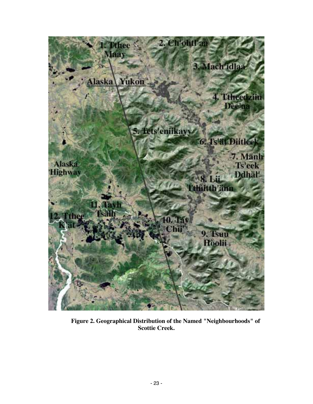

**Figure 2. Geographical Distribution of the Named "Neighbourhoods" of Scottie Creek.**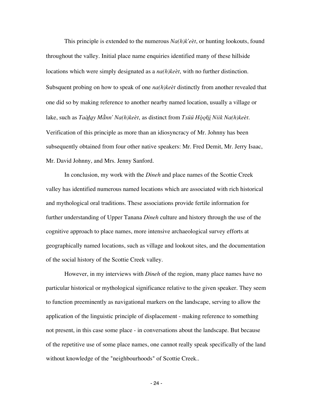This principle is extended to the numerous  $Na(h)k'e^i$ , or hunting lookouts, found throughout the valley. Initial place name enquiries identified many of these hillside locations which were simply designated as a *na(h)keet*, with no further distinction. Subsquent probing on how to speak of one *na(h)keet* distinctly from another revealed that one did so by making reference to another nearby named location, usually a village or lake, such as *Taàlay Mànn' Na(h)keet*, as distinct from *Tsuü Hòolii Niik Na(h)keet*. Verification of this principle as more than an idiosyncracy of Mr. Johnny has been subsequently obtained from four other native speakers: Mr. Fred Demit, Mr. Jerry Isaac, Mr. David Johnny, and Mrs. Jenny Sanford.

In conclusion, my work with the *Dineh* and place names of the Scottie Creek valley has identified numerous named locations which are associated with rich historical and mythological oral traditions. These associations provide fertile information for further understanding of Upper Tanana *Dineh* culture and history through the use of the cognitive approach to place names, more intensive archaeological survey efforts at geographically named locations, such as village and lookout sites, and the documentation of the social history of the Scottie Creek valley.

However, in my interviews with *Dineh* of the region, many place names have no particular historical or mythological significance relative to the given speaker. They seem to function preeminently as navigational markers on the landscape, serving to allow the application of the linguistic principle of displacement - making reference to something not present, in this case some place - in conversations about the landscape. But because of the repetitive use of some place names, one cannot really speak specifically of the land without knowledge of the "neighbourhoods" of Scottie Creek..

- 24 -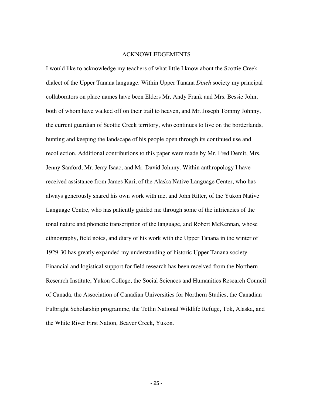#### ACKNOWLEDGEMENTS

I would like to acknowledge my teachers of what little I know about the Scottie Creek dialect of the Upper Tanana language. Within Upper Tanana *Dineh* society my principal collaborators on place names have been Elders Mr. Andy Frank and Mrs. Bessie John, both of whom have walked off on their trail to heaven, and Mr. Joseph Tommy Johnny, the current guardian of Scottie Creek territory, who continues to live on the borderlands, hunting and keeping the landscape of his people open through its continued use and recollection. Additional contributions to this paper were made by Mr. Fred Demit, Mrs. Jenny Sanford, Mr. Jerry Isaac, and Mr. David Johnny. Within anthropology I have received assistance from James Kari, of the Alaska Native Language Center, who has always generously shared his own work with me, and John Ritter, of the Yukon Native Language Centre, who has patiently guided me through some of the intricacies of the tonal nature and phonetic transcription of the language, and Robert McKennan, whose ethnography, field notes, and diary of his work with the Upper Tanana in the winter of 1929-30 has greatly expanded my understanding of historic Upper Tanana society. Financial and logistical support for field research has been received from the Northern Research Institute, Yukon College, the Social Sciences and Humanities Research Council of Canada, the Association of Canadian Universities for Northern Studies, the Canadian Fulbright Scholarship programme, the Tetlin National Wildlife Refuge, Tok, Alaska, and the White River First Nation, Beaver Creek, Yukon.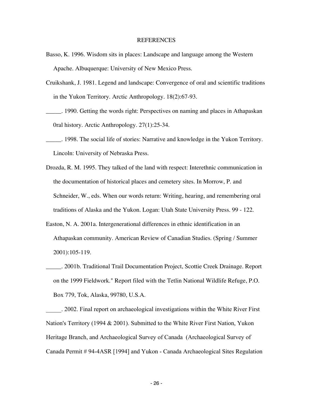#### REFERENCES

- Basso, K. 1996. Wisdom sits in places: Landscape and language among the Western Apache. Albuquerque: University of New Mexico Press.
- Cruikshank, J. 1981. Legend and landscape: Convergence of oral and scientific traditions in the Yukon Territory. Arctic Anthropology. 18(2):67-93.
- \_\_\_\_\_. 1990. Getting the words right: Perspectives on naming and places in Athapaskan 0ral history. Arctic Anthropology. 27(1):25-34.
- \_\_\_\_\_. 1998. The social life of stories: Narrative and knowledge in the Yukon Territory. Lincoln: University of Nebraska Press.
- Drozda, R. M. 1995. They talked of the land with respect: Interethnic communication in the documentation of historical places and cemetery sites. In Morrow, P. and Schneider, W., eds. When our words return: Writing, hearing, and remembering oral traditions of Alaska and the Yukon. Logan: Utah State University Press. 99 - 122.
- Easton, N. A. 2001a. Intergenerational differences in ethnic identification in an Athapaskan community. American Review of Canadian Studies. (Spring / Summer 2001):105-119.
- \_\_\_\_\_. 2001b. Traditional Trail Documentation Project, Scottie Creek Drainage. Report on the 1999 Fieldwork." Report filed with the Tetlin National Wildlife Refuge, P.O. Box 779, Tok, Alaska, 99780, U.S.A.

\_\_\_\_\_. 2002. Final report on archaeological investigations within the White River First Nation's Territory (1994 & 2001). Submitted to the White River First Nation, Yukon Heritage Branch, and Archaeological Survey of Canada (Archaeological Survey of Canada Permit # 94-4ASR [1994] and Yukon - Canada Archaeological Sites Regulation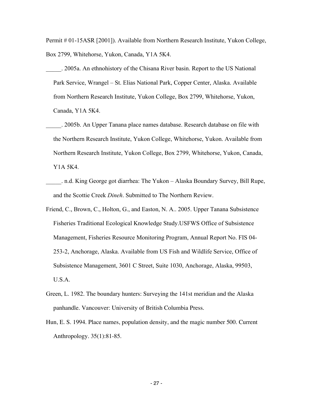Permit # 01-15ASR [2001]). Available from Northern Research Institute, Yukon College, Box 2799, Whitehorse, Yukon, Canada, Y1A 5K4.

- \_\_\_\_\_. 2005a. An ethnohistory of the Chisana River basin. Report to the US National Park Service, Wrangel – St. Elias National Park, Copper Center, Alaska. Available from Northern Research Institute, Yukon College, Box 2799, Whitehorse, Yukon, Canada, Y1A 5K4.
- \_\_\_\_\_. 2005b. An Upper Tanana place names database. Research database on file with the Northern Research Institute, Yukon College, Whitehorse, Yukon. Available from Northern Research Institute, Yukon College, Box 2799, Whitehorse, Yukon, Canada, Y1A 5K4.
- \_\_\_\_\_. n.d. King George got diarrhea: The Yukon Alaska Boundary Survey, Bill Rupe, and the Scottie Creek *Dineh*. Submitted to The Northern Review.
- Friend, C., Brown, C., Holton, G., and Easton, N. A.. 2005. Upper Tanana Subsistence Fisheries Traditional Ecological Knowledge Study.USFWS Office of Subsistence Management, Fisheries Resource Monitoring Program, Annual Report No. FIS 04- 253-2, Anchorage, Alaska. Available from US Fish and Wildlife Service, Office of Subsistence Management, 3601 C Street, Suite 1030, Anchorage, Alaska, 99503, U.S.A.
- Green, L. 1982. The boundary hunters: Surveying the 141st meridian and the Alaska panhandle. Vancouver: University of British Columbia Press.
- Hun, E. S. 1994. Place names, population density, and the magic number 500. Current Anthropology. 35(1):81-85.